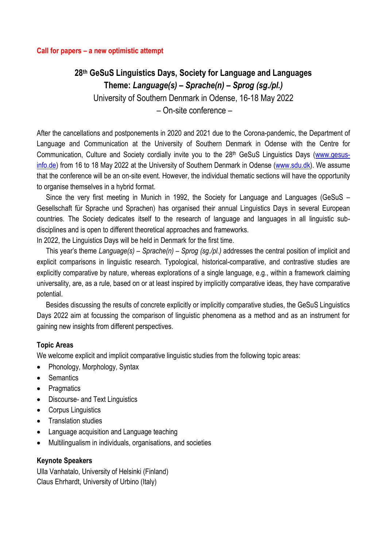# **28th GeSuS Linguistics Days, Society for Language and Languages Theme:** *Language(s) – Sprache(n) – Sprog (sg./pl.)*

University of Southern Denmark in Odense, 16-18 May 2022

– On-site conference –

After the cancellations and postponements in 2020 and 2021 due to the Corona-pandemic, the Department of Language and Communication at the University of Southern Denmark in Odense with the Centre for Communication, Culture and Society cordially invite you to the 28<sup>th</sup> GeSuS Linguistics Days [\(www.gesus](http://www.gesus-info.de/)[info.de\)](http://www.gesus-info.de/) from 16 to 18 May 2022 at the University of Southern Denmark in Odense [\(www.sdu.dk\)](http://www.sdu.dk/). We assume that the conference will be an on-site event. However, the individual thematic sections will have the opportunity to organise themselves in a hybrid format.

Since the very first meeting in Munich in 1992, the Society for Language and Languages (GeSuS – Gesellschaft für Sprache und Sprachen) has organised their annual Linguistics Days in several European countries. The Society dedicates itself to the research of language and languages in all linguistic subdisciplines and is open to different theoretical approaches and frameworks.

In 2022, the Linguistics Days will be held in Denmark for the first time.

This year's theme *Language(s) – Sprache(n) – Sprog (sg./pl.)* addresses the central position of implicit and explicit comparisons in linguistic research. Typological, historical-comparative, and contrastive studies are explicitly comparative by nature, whereas explorations of a single language, e.g., within a framework claiming universality, are, as a rule, based on or at least inspired by implicitly comparative ideas, they have comparative potential.

Besides discussing the results of concrete explicitly or implicitly comparative studies, the GeSuS Linguistics Days 2022 aim at focussing the comparison of linguistic phenomena as a method and as an instrument for gaining new insights from different perspectives.

## **Topic Areas**

We welcome explicit and implicit comparative linguistic studies from the following topic areas:

- Phonology, Morphology, Syntax
- Semantics
- Pragmatics
- Discourse- and Text Linguistics
- Corpus Linguistics
- Translation studies
- Language acquisition and Language teaching
- Multilingualism in individuals, organisations, and societies

#### **Keynote Speakers**

Ulla Vanhatalo, University of Helsinki (Finland) Claus Ehrhardt, University of Urbino (Italy)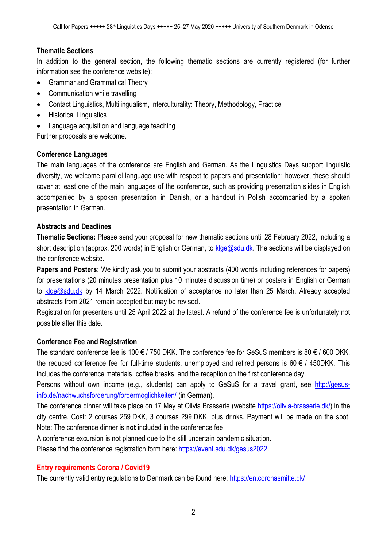# **Thematic Sections**

In addition to the general section, the following thematic sections are currently registered (for further information see the conference website):

- Grammar and Grammatical Theory
- Communication while travelling
- Contact Linguistics, Multilingualism, Interculturality: Theory, Methodology, Practice
- Historical Linguistics
- Language acquisition and language teaching

Further proposals are welcome.

# **Conference Languages**

The main languages of the conference are English and German. As the Linguistics Days support linguistic diversity, we welcome parallel language use with respect to papers and presentation; however, these should cover at least one of the main languages of the conference, such as providing presentation slides in English accompanied by a spoken presentation in Danish, or a handout in Polish accompanied by a spoken presentation in German.

# **Abstracts and Deadlines**

**Thematic Sections:** Please send your proposal for new thematic sections until 28 February 2022, including a short description (approx. 200 words) in English or German, to [klge@sdu.dk.](mailto:klge@sdu.dk) The sections will be displayed on the conference website.

**Papers and Posters:** We kindly ask you to submit your abstracts (400 words including references for papers) for presentations (20 minutes presentation plus 10 minutes discussion time) or posters in English or German to [klge@sdu.dk](mailto:klge@sdu.dk) by 14 March 2022. Notification of acceptance no later than 25 March. Already accepted abstracts from 2021 remain accepted but may be revised.

Registration for presenters until 25 April 2022 at the latest. A refund of the conference fee is unfortunately not possible after this date.

# **Conference Fee and Registration**

The standard conference fee is 100  $\epsilon$  / 750 DKK. The conference fee for GeSuS members is 80  $\epsilon$  / 600 DKK. the reduced conference fee for full-time students, unemployed and retired persons is 60  $\epsilon$  / 450DKK. This includes the conference materials, coffee breaks, and the reception on the first conference day.

Persons without own income (e.g., students) can apply to GeSuS for a travel grant, see [http://gesus](http://gesus-info.de/nachwuchsforderung/fordermoglichkeiten/)[info.de/nachwuchsforderung/fordermoglichkeiten/](http://gesus-info.de/nachwuchsforderung/fordermoglichkeiten/) (in German).

The conference dinner will take place on 17 May at Olivia Brasserie (website [https://olivia-brasserie.dk/\)](https://olivia-brasserie.dk/) in the city centre. Cost: 2 courses 259 DKK, 3 courses 299 DKK, plus drinks. Payment will be made on the spot. Note: The conference dinner is **not** included in the conference fee!

A conference excursion is not planned due to the still uncertain pandemic situation.

Please find the conference registration form here: [https://event.sdu.dk/gesus2022.](https://event.sdu.dk/gesus2022)

# **Entry requirements Corona / Covid19**

The currently valid entry regulations to Denmark can be found here:<https://en.coronasmitte.dk/>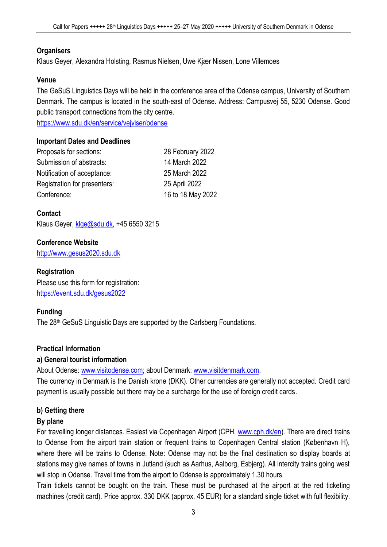## **Organisers**

Klaus Geyer, Alexandra Holsting, Rasmus Nielsen, Uwe Kjær Nissen, Lone Villemoes

#### **Venue**

The GeSuS Linguistics Days will be held in the conference area of the Odense campus, University of Southern Denmark. The campus is located in the south-east of Odense. Address: Campusvej 55, 5230 Odense. Good public transport connections from the city centre.

<https://www.sdu.dk/en/service/vejviser/odense>

#### **Important Dates and Deadlines**

| Proposals for sections:      | 28 February 2022  |
|------------------------------|-------------------|
| Submission of abstracts:     | 14 March 2022     |
| Notification of acceptance:  | 25 March 2022     |
| Registration for presenters: | 25 April 2022     |
| Conference:                  | 16 to 18 May 2022 |

# **Contact**

Klaus Geyer, [klge@sdu.dk,](mailto:klge@sdu.dk) +45 6550 3215

## **Conference Website**

[http://www.gesus2020.sdu.dk](http://www.gesus2020.sdu.dk/)

#### **Registration**

Please use this form for registration: <https://event.sdu.dk/gesus2022>

## **Funding**

The 28<sup>th</sup> GeSuS Linguistic Days are supported by the Carlsberg Foundations.

## **Practical Information**

## **a) General tourist information**

About Odense: [www.visitodense.com;](http://www.visitodense.com/) about Denmark: [www.visitdenmark.com.](http://www.visitdenmark.com/)

The currency in Denmark is the Danish krone (DKK). Other currencies are generally not accepted. Credit card payment is usually possible but there may be a surcharge for the use of foreign credit cards.

# **b) Getting there**

## **By plane**

For travelling longer distances. Easiest via Copenhagen Airport (CPH, [www.cph.dk/en\)](http://www.cph.dk/en). There are direct trains to Odense from the airport train station or frequent trains to Copenhagen Central station (København H), where there will be trains to Odense. Note: Odense may not be the final destination so display boards at stations may give names of towns in Jutland (such as Aarhus, Aalborg, Esbjerg). All intercity trains going west will stop in Odense. Travel time from the airport to Odense is approximately 1.30 hours.

Train tickets cannot be bought on the train. These must be purchased at the airport at the red ticketing machines (credit card). Price approx. 330 DKK (approx. 45 EUR) for a standard single ticket with full flexibility.